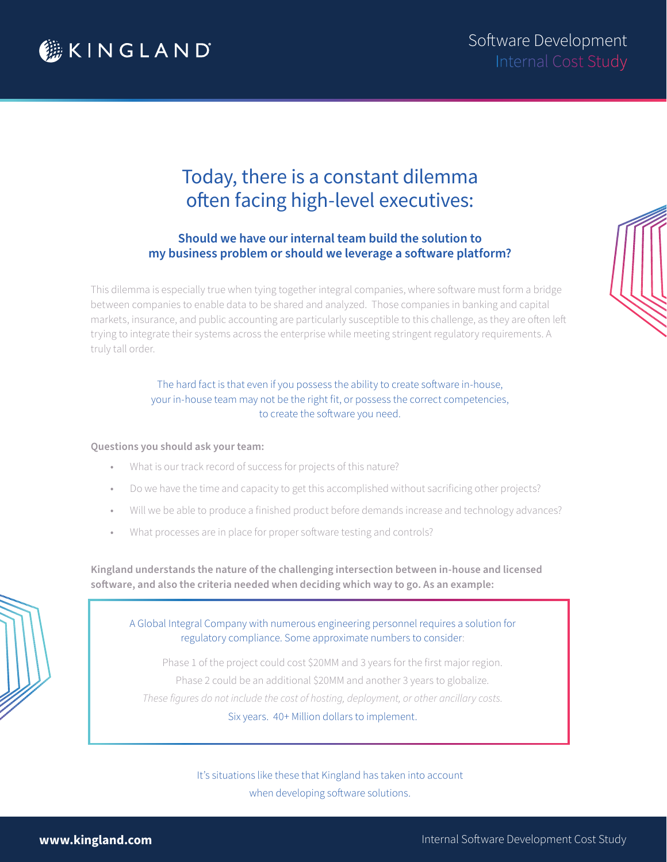

# Today, there is a constant dilemma often facing high-level executives:

### **Should we have our internal team build the solution to my business problem or should we leverage a software platform?**

This dilemma is especially true when tying together integral companies, where software must form a bridge between companies to enable data to be shared and analyzed. Those companies in banking and capital markets, insurance, and public accounting are particularly susceptible to this challenge, as they are often left trying to integrate their systems across the enterprise while meeting stringent regulatory requirements. A truly tall order.

> The hard fact is that even if you possess the ability to create software in-house, your in-house team may not be the right fit, or possess the correct competencies, to create the software you need.

#### **Questions you should ask your team:**

- What is our track record of success for projects of this nature?
- Do we have the time and capacity to get this accomplished without sacrificing other projects?
- Will we be able to produce a finished product before demands increase and technology advances?
- What processes are in place for proper software testing and controls?

**Kingland understands the nature of the challenging intersection between in-house and licensed software, and also the criteria needed when deciding which way to go. As an example:** 

A Global Integral Company with numerous engineering personnel requires a solution for regulatory compliance. Some approximate numbers to consider:

Phase 1 of the project could cost \$20MM and 3 years for the first major region. Phase 2 could be an additional \$20MM and another 3 years to globalize. *These figures do not include the cost of hosting, deployment, or other ancillary costs.*  Six years. 40+ Million dollars to implement.

> It's situations like these that Kingland has taken into account when developing software solutions.

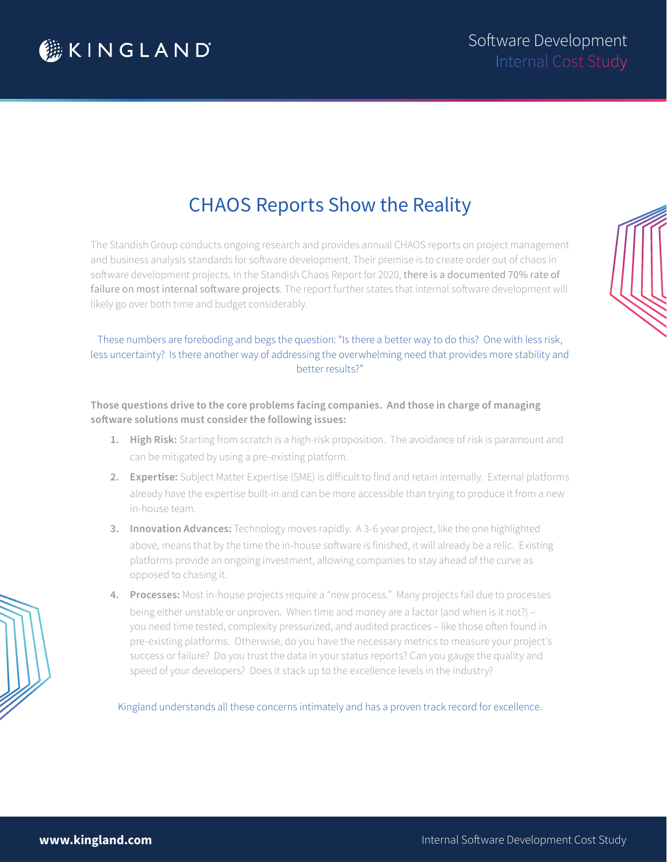

# CHAOS Reports Show the Reality

The Standish Group conducts ongoing research and provides annual CHAOS reports on project management and business analysis standards for software development. Their premise is to create order out of chaos in software development projects. In the Standish Chaos Report for 2020, there is a documented 70% rate of failure on most internal software projects. The report further states that internal software development will likely go over both time and budget considerably.

#### These numbers are foreboding and begs the question: "Is there a better way to do this? One with less risk, less uncertainty? Is there another way of addressing the overwhelming need that provides more stability and better results?"

**Those questions drive to the core problems facing companies. And those in charge of managing software solutions must consider the following issues:** 

- **1. High Risk:** Starting from scratch is a high-risk proposition. The avoidance of risk is paramount and can be mitigated by using a pre-existing platform.
- **2. Expertise:** Subject Matter Expertise (SME) is difficult to find and retain internally. External platforms already have the expertise built-in and can be more accessible than trying to produce it from a new in-house team.
- **3. Innovation Advances:** Technology moves rapidly. A 3-6 year project, like the one highlighted above, means that by the time the in-house software is finished, it will already be a relic. Existing platforms provide an ongoing investment, allowing companies to stay ahead of the curve as opposed to chasing it.
- **4. Processes:** Most in-house projects require a "new process." Many projects fail due to processes being either unstable or unproven. When time and money are a factor (and when is it not?) – you need time tested, complexity pressurized, and audited practices – like those often found in pre-existing platforms. Otherwise, do you have the necessary metrics to measure your project's success or failure? Do you trust the data in your status reports? Can you gauge the quality and speed of your developers? Does it stack up to the excellence levels in the industry?

Kingland understands all these concerns intimately and has a proven track record for excellence.



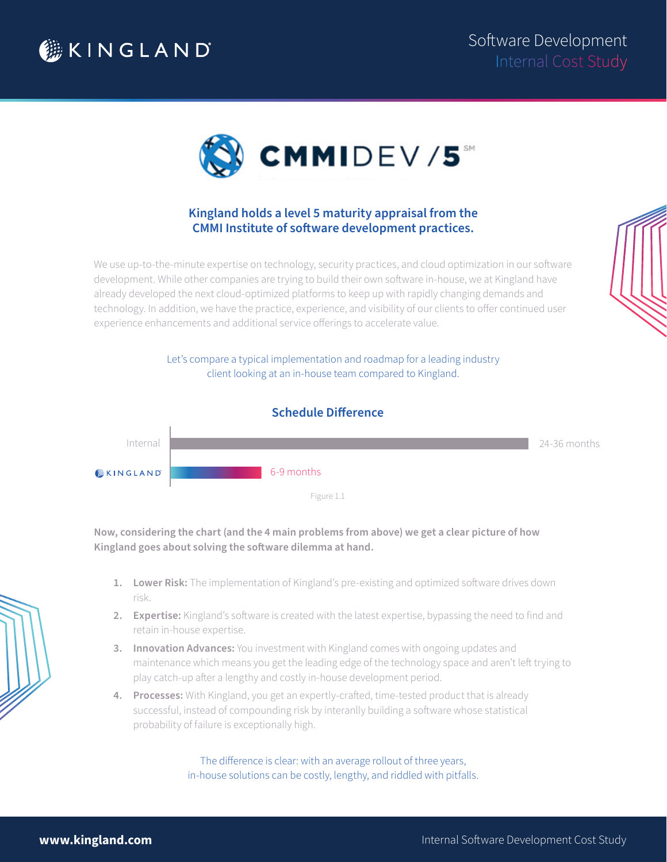



### **Kingland holds a level 5 maturity appraisal from the CMMI Institute of software development practices.**

We use up-to-the-minute expertise on technology, security practices, and cloud optimization in our software development. While other companies are trying to build their own software in-house, we at Kingland have already developed the next cloud-optimized platforms to keep up with rapidly changing demands and technology. In addition, we have the practice, experience, and visibility of our clients to offer continued user experience enhancements and additional service offerings to accelerate value.

> Let's compare a typical implementation and roadmap for a leading industry client looking at an in-house team compared to Kingland.



**Now, considering the chart (and the 4 main problems from above) we get a clear picture of how Kingland goes about solving the software dilemma at hand.** 

- **1. Lower Risk:** The implementation of Kingland's pre-existing and optimized software drives down risk.
- **2. Expertise:** Kingland's software is created with the latest expertise, bypassing the need to find and retain in-house expertise.
- **3. Innovation Advances:** You investment with Kingland comes with ongoing updates and maintenance which means you get the leading edge of the technology space and aren't left trying to play catch-up after a lengthy and costly in-house development period.
- **4. Processes:** With Kingland, you get an expertly-crafted, time-tested product that is already successful, instead of compounding risk by interanlly building a software whose statistical probability of failure is exceptionally high.

The difference is clear: with an average rollout of three years, in-house solutions can be costly, lengthy, and riddled with pitfalls.